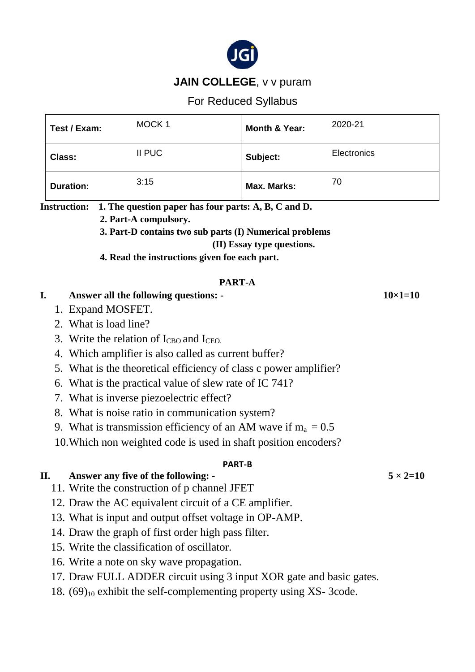

# **JAIN COLLEGE**, v v puram

For Reduced Syllabus

|                                               | Test / Exam:                                                      |                                                                                                                 | MOCK <sub>1</sub>                                                             | <b>Month &amp; Year:</b> | 2020-21     |                 |
|-----------------------------------------------|-------------------------------------------------------------------|-----------------------------------------------------------------------------------------------------------------|-------------------------------------------------------------------------------|--------------------------|-------------|-----------------|
|                                               | Class:                                                            |                                                                                                                 | <b>II PUC</b>                                                                 | Subject:                 | Electronics |                 |
| <b>Duration:</b>                              |                                                                   |                                                                                                                 | 3:15                                                                          | <b>Max. Marks:</b>       | 70          |                 |
| <b>Instruction:</b>                           |                                                                   |                                                                                                                 | 1. The question paper has four parts: A, B, C and D.<br>2. Part-A compulsory. |                          |             |                 |
|                                               |                                                                   |                                                                                                                 | 3. Part-D contains two sub parts (I) Numerical problems                       |                          |             |                 |
|                                               | (II) Essay type questions.                                        |                                                                                                                 |                                                                               |                          |             |                 |
| 4. Read the instructions given foe each part. |                                                                   |                                                                                                                 |                                                                               |                          |             |                 |
|                                               |                                                                   |                                                                                                                 |                                                                               |                          |             |                 |
|                                               | PART-A                                                            |                                                                                                                 |                                                                               |                          |             |                 |
| I.                                            | <b>Answer all the following questions: -</b>                      |                                                                                                                 |                                                                               |                          |             | $10\times1=10$  |
| 1. Expand MOSFET.                             |                                                                   |                                                                                                                 |                                                                               |                          |             |                 |
|                                               | 2. What is load line?                                             |                                                                                                                 |                                                                               |                          |             |                 |
|                                               | 3. Write the relation of $I_{CBO}$ and $I_{CEO}$ .                |                                                                                                                 |                                                                               |                          |             |                 |
|                                               | 4. Which amplifier is also called as current buffer?              |                                                                                                                 |                                                                               |                          |             |                 |
|                                               | 5. What is the theoretical efficiency of class c power amplifier? |                                                                                                                 |                                                                               |                          |             |                 |
|                                               | 6. What is the practical value of slew rate of IC 741?            |                                                                                                                 |                                                                               |                          |             |                 |
|                                               | 7. What is inverse piezoelectric effect?                          |                                                                                                                 |                                                                               |                          |             |                 |
|                                               | 8. What is noise ratio in communication system?                   |                                                                                                                 |                                                                               |                          |             |                 |
|                                               | 9. What is transmission efficiency of an AM wave if $m_a = 0.5$   |                                                                                                                 |                                                                               |                          |             |                 |
|                                               | 10. Which non weighted code is used in shaft position encoders?   |                                                                                                                 |                                                                               |                          |             |                 |
|                                               | <b>PART-B</b><br>Answer any five of the following: -              |                                                                                                                 |                                                                               |                          |             |                 |
| II.                                           |                                                                   |                                                                                                                 | 11. Write the construction of p channel JFET                                  |                          |             | $5 \times 2=10$ |
|                                               |                                                                   |                                                                                                                 |                                                                               |                          |             |                 |
|                                               |                                                                   | 12. Draw the AC equivalent circuit of a CE amplifier.<br>13. What is input and output offset voltage in OP-AMP. |                                                                               |                          |             |                 |
|                                               |                                                                   |                                                                                                                 |                                                                               |                          |             |                 |
|                                               |                                                                   |                                                                                                                 | 14. Draw the graph of first order high pass filter.                           |                          |             |                 |
|                                               |                                                                   |                                                                                                                 | 15. Write the classification of oscillator.                                   |                          |             |                 |
|                                               |                                                                   |                                                                                                                 | 16. Write a note on sky wave propagation.                                     |                          |             |                 |
|                                               |                                                                   |                                                                                                                 | 17. Draw FULL ADDER circuit using 3 input XOR gate and basic gates.           |                          |             |                 |
|                                               |                                                                   |                                                                                                                 | 18. $(69)_{10}$ exhibit the self-complementing property using XS-3code.       |                          |             |                 |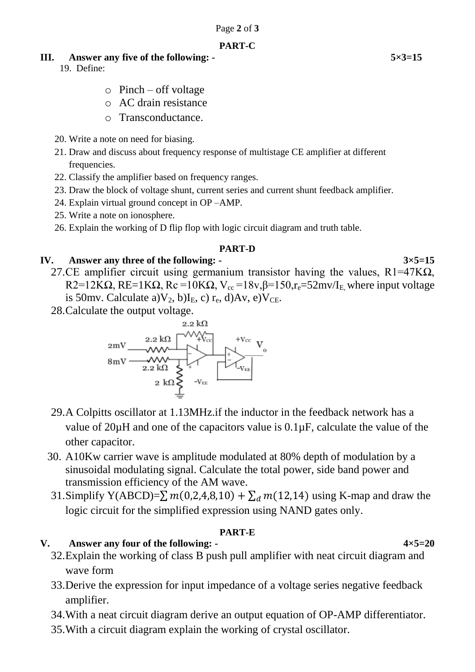#### **PART-C**

#### **III.** Answer any five of the following: - 5×3=15

19. Define:

- $\circ$  Pinch off voltage
- o AC drain resistance
- o Transconductance.
- 20. Write a note on need for biasing.
- 21. Draw and discuss about frequency response of multistage CE amplifier at different frequencies.
- 22. Classify the amplifier based on frequency ranges.
- 23. Draw the block of voltage shunt, current series and current shunt feedback amplifier.
- 24. Explain virtual ground concept in OP –AMP.
- 25. Write a note on ionosphere.
- 26. Explain the working of D flip flop with logic circuit diagram and truth table.

### **PART-D**

# **IV.** Answer any three of the following: -  $3 \times 5=15$

- 27.CE amplifier circuit using germanium transistor having the values,  $R1=47K\Omega$ , R2=12K $\Omega$ , RE=1K $\Omega$ , Rc =10K $\Omega$ , V<sub>cc</sub> =18v,  $\beta$ =150, r<sub>e</sub>=52mv/I<sub>E</sub>, where input voltage is 50mv. Calculate a) $V_2$ , b)I<sub>E</sub>, c) r<sub>e</sub>, d)Av, e) $V_{CE}$ .
- 28.Calculate the output voltage.



- 29.A Colpitts oscillator at 1.13MHz.if the inductor in the feedback network has a value of 20µH and one of the capacitors value is 0.1µF, calculate the value of the other capacitor.
- 30. A10Kw carrier wave is amplitude modulated at 80% depth of modulation by a sinusoidal modulating signal. Calculate the total power, side band power and transmission efficiency of the AM wave.
- 31.Simplify Y(ABCD)= $\sum m(0,2,4,8,10) + \sum_{d} m(12,14)$  using K-map and draw the logic circuit for the simplified expression using NAND gates only.

# **PART-E**

- **V.** Answer any four of the following:  $4 \times 5 = 20$ 32.Explain the working of class B push pull amplifier with neat circuit diagram and wave form
	- 33.Derive the expression for input impedance of a voltage series negative feedback amplifier.
	- 34.With a neat circuit diagram derive an output equation of OP-AMP differentiator.
	- 35.With a circuit diagram explain the working of crystal oscillator.